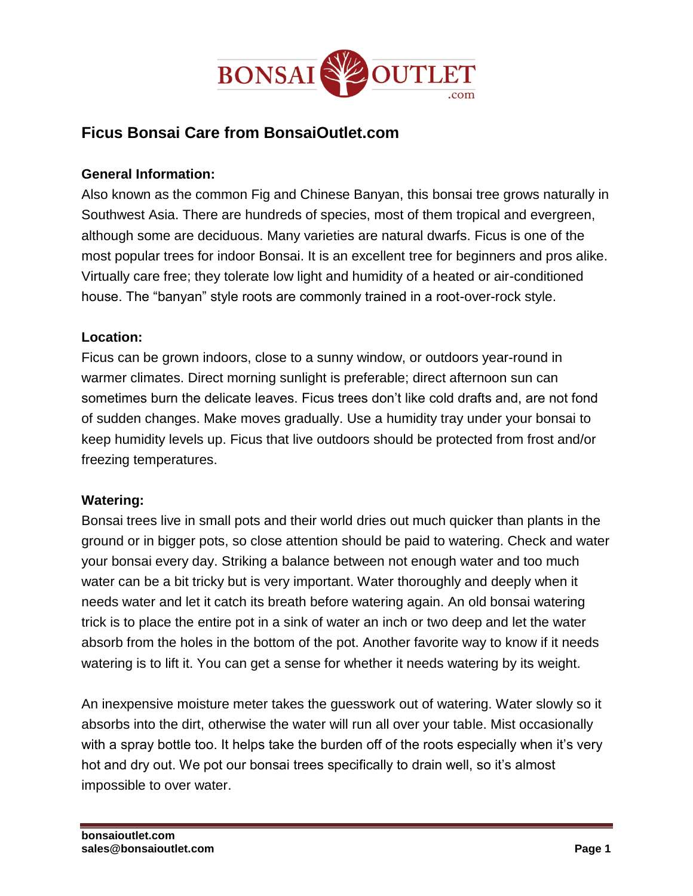

# **Ficus Bonsai Care from BonsaiOutlet.com**

#### **General Information:**

Also known as the common Fig and Chinese Banyan, this bonsai tree grows naturally in Southwest Asia. There are hundreds of species, most of them tropical and evergreen, although some are deciduous. Many varieties are natural dwarfs. Ficus is one of the most popular trees for indoor Bonsai. It is an excellent tree for beginners and pros alike. Virtually care free; they tolerate low light and humidity of a heated or air-conditioned house. The "banyan" style roots are commonly trained in a root-over-rock style.

#### **Location:**

Ficus can be grown indoors, close to a sunny window, or outdoors year-round in warmer climates. Direct morning sunlight is preferable; direct afternoon sun can sometimes burn the delicate leaves. Ficus trees don't like cold drafts and, are not fond of sudden changes. Make moves gradually. Use a humidity tray under your bonsai to keep humidity levels up. Ficus that live outdoors should be protected from frost and/or freezing temperatures.

#### **Watering:**

Bonsai trees live in small pots and their world dries out much quicker than plants in the ground or in bigger pots, so close attention should be paid to watering. Check and water your bonsai every day. Striking a balance between not enough water and too much water can be a bit tricky but is very important. Water thoroughly and deeply when it needs water and let it catch its breath before watering again. An old bonsai watering trick is to place the entire pot in a sink of water an inch or two deep and let the water absorb from the holes in the bottom of the pot. Another favorite way to know if it needs watering is to lift it. You can get a sense for whether it needs watering by its weight.

An inexpensive moisture meter takes the guesswork out of watering. Water slowly so it absorbs into the dirt, otherwise the water will run all over your table. Mist occasionally with a spray bottle too. It helps take the burden off of the roots especially when it's very hot and dry out. We pot our bonsai trees specifically to drain well, so it's almost impossible to over water.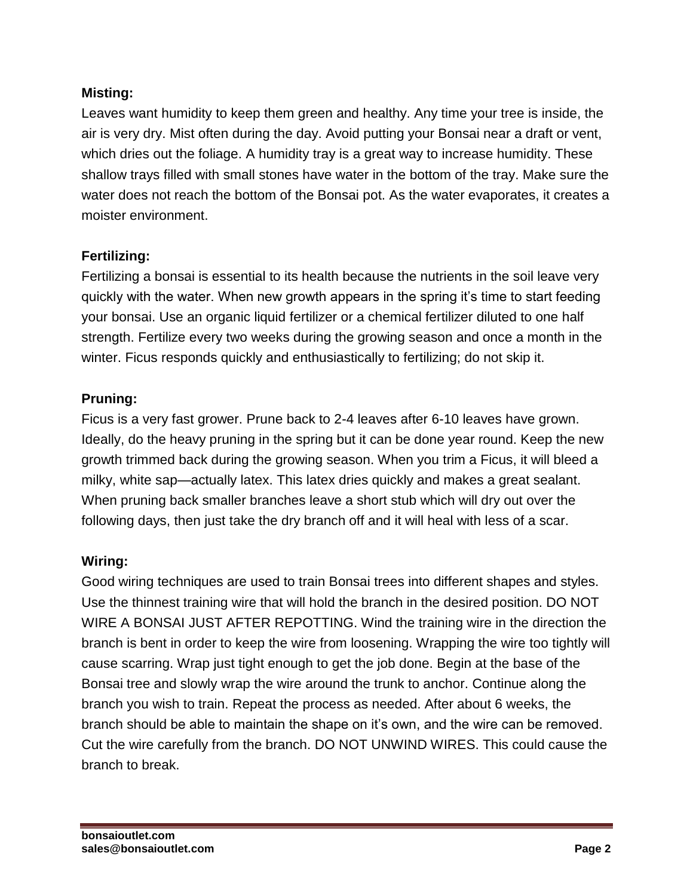# **Misting:**

Leaves want humidity to keep them green and healthy. Any time your tree is inside, the air is very dry. Mist often during the day. Avoid putting your Bonsai near a draft or vent, which dries out the foliage. A humidity tray is a great way to increase humidity. These shallow trays filled with small stones have water in the bottom of the tray. Make sure the water does not reach the bottom of the Bonsai pot. As the water evaporates, it creates a moister environment.

### **Fertilizing:**

Fertilizing a bonsai is essential to its health because the nutrients in the soil leave very quickly with the water. When new growth appears in the spring it's time to start feeding your bonsai. Use an organic liquid fertilizer or a chemical fertilizer diluted to one half strength. Fertilize every two weeks during the growing season and once a month in the winter. Ficus responds quickly and enthusiastically to fertilizing; do not skip it.

### **Pruning:**

Ficus is a very fast grower. Prune back to 2-4 leaves after 6-10 leaves have grown. Ideally, do the heavy pruning in the spring but it can be done year round. Keep the new growth trimmed back during the growing season. When you trim a Ficus, it will bleed a milky, white sap—actually latex. This latex dries quickly and makes a great sealant. When pruning back smaller branches leave a short stub which will dry out over the following days, then just take the dry branch off and it will heal with less of a scar.

#### **Wiring:**

Good wiring techniques are used to train Bonsai trees into different shapes and styles. Use the thinnest training wire that will hold the branch in the desired position. DO NOT WIRE A BONSAI JUST AFTER REPOTTING. Wind the training wire in the direction the branch is bent in order to keep the wire from loosening. Wrapping the wire too tightly will cause scarring. Wrap just tight enough to get the job done. Begin at the base of the Bonsai tree and slowly wrap the wire around the trunk to anchor. Continue along the branch you wish to train. Repeat the process as needed. After about 6 weeks, the branch should be able to maintain the shape on it's own, and the wire can be removed. Cut the wire carefully from the branch. DO NOT UNWIND WIRES. This could cause the branch to break.